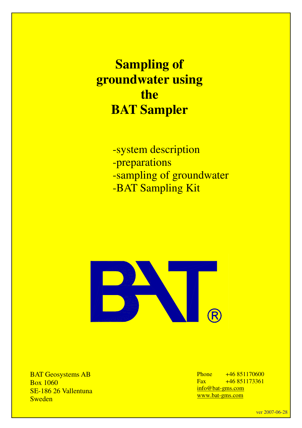**Sampling of groundwater using the BAT Sampler**

> -system description -preparations -sampling of groundwater -BAT Sampling Kit



BAT Geosystems AB Box 1060 SE-186 26 Vallentuna Sweden

Phone  $+46851170600$ Fax  $+46851173361$ info@bat-gms.com www.bat-gms.com

ver 2007-06-28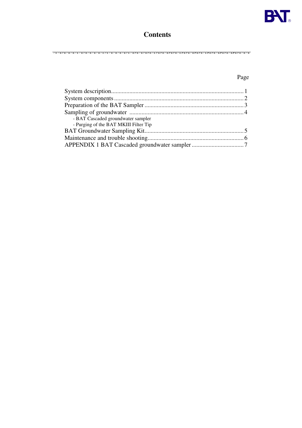

## **Contents**

## Page

| - BAT Cascaded groundwater sampler    |  |
|---------------------------------------|--|
| - Purging of the BAT MKIII Filter Tip |  |
|                                       |  |
|                                       |  |
|                                       |  |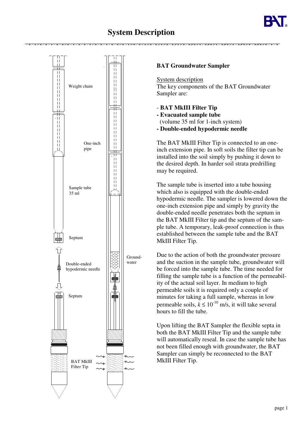# **System Description**



## **BAT Groundwater Sampler**

System description The key components of the BAT Groundwater Sampler are:

- **BAT MkIII Filter Tip**
- **- Evacuated sample tube**
- (volume 35 ml for 1-inch system)
- **- Double-ended hypodermic needle**

The BAT MkIII Filter Tip is connected to an oneinch extension pipe. In soft soils the filter tip can be installed into the soil simply by pushing it down to the desired depth. In harder soil strata predrilling may be required.

The sample tube is inserted into a tube housing which also is equipped with the double-ended hypodermic needle. The sampler is lowered down the one-inch extension pipe and simply by gravity the double-ended needle penetrates both the septum in the BAT MkIII Filter tip and the septum of the sample tube. A temporary, leak-proof connection is thus established between the sample tube and the BAT MkIII Filter Tip.

Due to the action of both the groundwater pressure and the suction in the sample tube, groundwater will be forced into the sample tube. The time needed for filling the sample tube is a function of the permeability of the actual soil layer. In medium to high permeable soils it is required only a couple of minutes for taking a full sample, whereas in low permeable soils,  $k \leq 10^{-10}$  m/s, it will take several hours to fill the tube.

Upon lifting the BAT Sampler the flexible septa in both the BAT MkIII Filter Tip and the sample tube will automatically reseal. In case the sample tube has not been filled enough with groundwater, the BAT Sampler can simply be reconnected to the BAT MkIII Filter Tip.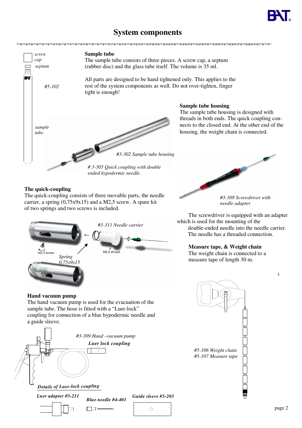

# **System components**



### **The quick-coupling**

The quick-coupling consists of three movable parts, the needle carrier, a spring (0,75x9x15) and a M2,5 screw. A spare kit of two springs and two screws is included.



**Hand vacuum pump**

The hand vacuum pump is used for the evacuation of the sample tube. The hose is fitted with a "Luer-lock" coupling for connection of a blue hypodermic needle and a guide sleeve.



*#3-308 Screwdriver with needle adapter*

The screwdriver is equipped with an adapter which is used for the mounting of the double-ended needle into the needle carrier. The needle has a threaded connection.

### **Measure tape, & Weight chain**

The weight chain is connected to a measure tape of length 30 m.



t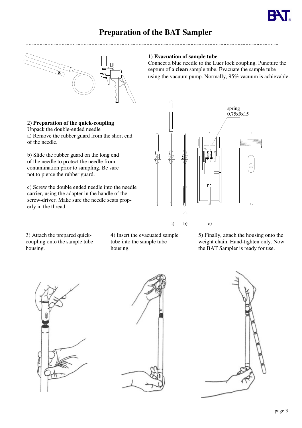# **Preparation of the BAT Sampler**



2) **Preparation of the quick-coupling**

Unpack the double-ended needle a) Remove the rubber guard from the short end of the needle.

b) Slide the rubber guard on the long end of the needle to protect the needle from contamination prior to sampling. Be sure not to pierce the rubber guard.

c) Screw the double ended needle into the needle carrier, using the adapter in the handle of the screw-driver. Make sure the needle seats properly in the thread.

1) **Evacuation of sample tube**

 $u = u = u = u = u = u = u = u = u = u = u = u$ 

Connect a blue needle to the Luer lock coupling. Puncture the septum of a **clean** sample tube. Evacuate the sample tube using the vacuum pump. Normally, 95% vacuum is achievable.



3) Attach the prepared quickcoupling onto the sample tube housing.

4) Insert the evacuated sample tube into the sample tube housing.

5) Finally, attach the housing onto the weight chain. Hand-tighten only. Now the BAT Sampler is ready for use.





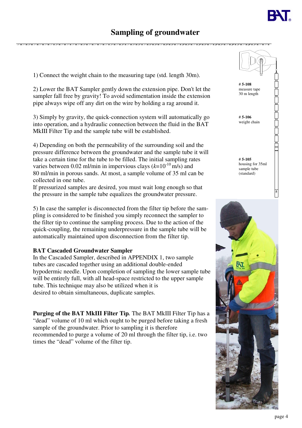## **Sampling of groundwater**

1) Connect the weight chain to the measuring tape (std. length 30m).

2) Lower the BAT Sampler gently down the extension pipe. Don't let the sampler fall free by gravity! To avoid sedimentation inside the extension pipe always wipe off any dirt on the wire by holding a rag around it.

3) Simply by gravity, the quick-connection system will automatically go into operation, and a hydraulic connection between the fluid in the BAT MkIII Filter Tip and the sample tube will be established.

4) Depending on both the permeability of the surrounding soil and the pressure difference between the groundwater and the sample tube it will take a certain time for the tube to be filled. The initial sampling rates varies between 0.02 ml/min in impervious clays  $(k=10^{-10} \text{ m/s})$  and 80 ml/min in porous sands. At most, a sample volume of 35 ml can be collected in one tube.

If pressurized samples are desired, you must wait long enough so that the pressure in the sample tube equalizes the groundwater pressure.

5) In case the sampler is disconnected from the filter tip before the sampling is considered to be finished you simply reconnect the sampler to the filter tip to continue the sampling process. Due to the action of the quick-coupling, the remaining underpressure in the sample tube will be automatically maintained upon disconnection from the filter tip.

### **BAT Cascaded Groundwater Sampler**

In the Cascaded Sampler, described in APPENDIX 1, two sample tubes are cascaded together using an additional double-ended hypodermic needle. Upon completion of sampling the lower sample tube will be entirely full, with all head-space restricted to the upper sample tube. This technique may also be utilized when it is desired to obtain simultaneous, duplicate samples.

**Purging of the BAT MkIII Filter Tip***.* The BAT MkIII Filter Tip has a "dead" volume of 10 ml which ought to be purged before taking a fresh sample of the groundwater. Prior to sampling it is therefore recommended to purge a volume of 20 ml through the filter tip, i.e. two times the "dead" volume of the filter tip.

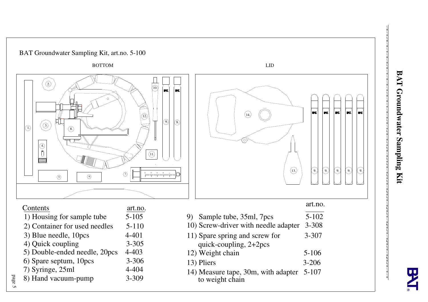



 $\mathcal{N} = \mathcal{N} = \mathcal{N} = \mathcal{N}$ 

p a g e S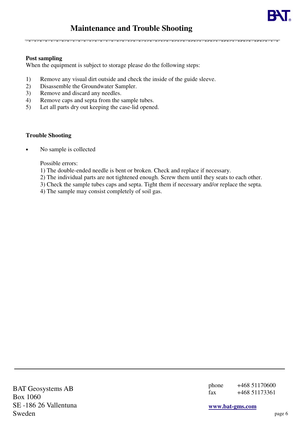## **Post sampling**

When the equipment is subject to storage please do the following steps:

- 1) Remove any visual dirt outside and check the inside of the guide sleeve.
- 2) Disassemble the Groundwater Sampler.
- 3) Remove and discard any needles.
- 4) Remove caps and septa from the sample tubes.
- 5) Let all parts dry out keeping the case-lid opened.

## **Trouble Shooting**

No sample is collected

Possible errors:

- 1) The double-ended needle is bent or broken. Check and replace if necessary.
- 2) The individual parts are not tightened enough. Screw them until they seats to each other.
- 3) Check the sample tubes caps and septa. Tight them if necessary and/or replace the septa.

4) The sample may consist completely of soil gas.